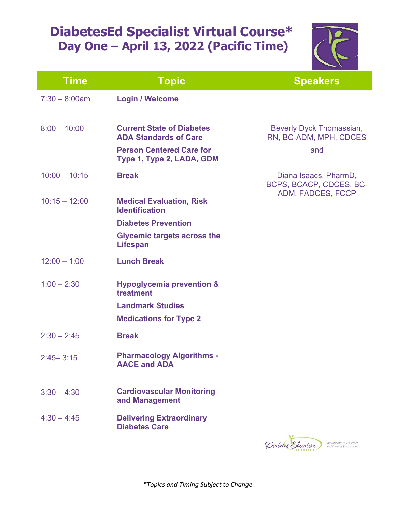## **DiabetesEd Specialist Virtual Course\* Day One – April 13, 2022 (Pacific Time)**



| <b>Time</b>      | <b>Topic</b>                                                                                                                     | <b>Speakers</b>                                                      |
|------------------|----------------------------------------------------------------------------------------------------------------------------------|----------------------------------------------------------------------|
| $7:30 - 8:00$ am | <b>Login / Welcome</b>                                                                                                           |                                                                      |
| $8:00 - 10:00$   | <b>Current State of Diabetes</b><br><b>ADA Standards of Care</b><br><b>Person Centered Care for</b><br>Type 1, Type 2, LADA, GDM | Beverly Dyck Thomassian,<br>RN, BC-ADM, MPH, CDCES<br>and            |
| $10:00 - 10:15$  | <b>Break</b>                                                                                                                     | Diana Isaacs, PharmD,<br>BCPS, BCACP, CDCES, BC-                     |
| $10:15 - 12:00$  | <b>Medical Evaluation, Risk</b><br><b>Identification</b>                                                                         | ADM, FADCES, FCCP                                                    |
|                  | <b>Diabetes Prevention</b>                                                                                                       |                                                                      |
|                  | <b>Glycemic targets across the</b><br><b>Lifespan</b>                                                                            |                                                                      |
| $12:00 - 1:00$   | <b>Lunch Break</b>                                                                                                               |                                                                      |
| $1:00 - 2:30$    | <b>Hypoglycemia prevention &amp;</b><br>treatment                                                                                |                                                                      |
|                  | <b>Landmark Studies</b>                                                                                                          |                                                                      |
|                  | <b>Medications for Type 2</b>                                                                                                    |                                                                      |
| $2:30 - 2:45$    | <b>Break</b>                                                                                                                     |                                                                      |
| $2:45 - 3:15$    | <b>Pharmacology Algorithms -</b><br><b>AACE and ADA</b>                                                                          |                                                                      |
| $3:30 - 4:30$    | <b>Cardiovascular Monitoring</b><br>and Management                                                                               |                                                                      |
| $4:30 - 4:45$    | <b>Delivering Extraordinary</b><br><b>Diabetes Care</b>                                                                          |                                                                      |
|                  |                                                                                                                                  | Advancing Your Career<br>Diabetes Education<br>in Diabetes Education |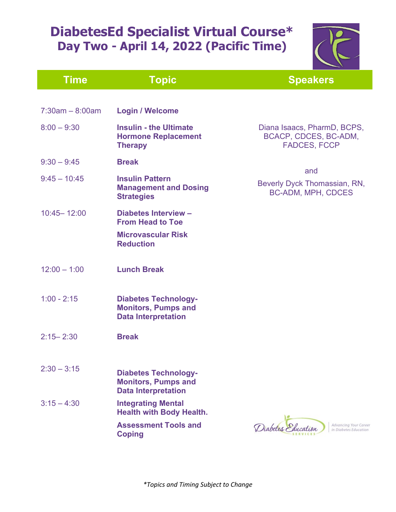## **DiabetesEd Specialist Virtual Course\* Day Two - April 14, 2022 (Pacific Time)**



| <b>Time</b>       | <b>Topic</b>                                                                            | <b>Speakers</b>                                                             |
|-------------------|-----------------------------------------------------------------------------------------|-----------------------------------------------------------------------------|
|                   |                                                                                         |                                                                             |
| $7:30am - 8:00am$ | <b>Login / Welcome</b>                                                                  |                                                                             |
| $8:00 - 9:30$     | <b>Insulin - the Ultimate</b><br><b>Hormone Replacement</b><br><b>Therapy</b>           | Diana Isaacs, PharmD, BCPS,<br>BCACP, CDCES, BC-ADM,<br><b>FADCES, FCCP</b> |
| $9:30 - 9:45$     | <b>Break</b>                                                                            |                                                                             |
| $9:45 - 10:45$    | <b>Insulin Pattern</b><br><b>Management and Dosing</b><br><b>Strategies</b>             | and<br>Beverly Dyck Thomassian, RN,<br><b>BC-ADM, MPH, CDCES</b>            |
| $10:45 - 12:00$   | <b>Diabetes Interview -</b><br><b>From Head to Toe</b>                                  |                                                                             |
|                   | <b>Microvascular Risk</b><br><b>Reduction</b>                                           |                                                                             |
| $12:00 - 1:00$    | <b>Lunch Break</b>                                                                      |                                                                             |
| $1:00 - 2:15$     | <b>Diabetes Technology-</b><br><b>Monitors, Pumps and</b><br><b>Data Interpretation</b> |                                                                             |
| $2:15 - 2:30$     | <b>Break</b>                                                                            |                                                                             |
| $2:30 - 3:15$     | <b>Diabetes Technology-</b><br><b>Monitors, Pumps and</b><br><b>Data Interpretation</b> |                                                                             |
| $3:15 - 4:30$     | <b>Integrating Mental</b><br><b>Health with Body Health.</b>                            |                                                                             |
|                   | <b>Assessment Tools and</b><br><b>Coping</b>                                            | Diabetes Education<br>Advancing Your Career<br>in Diabetes Education        |